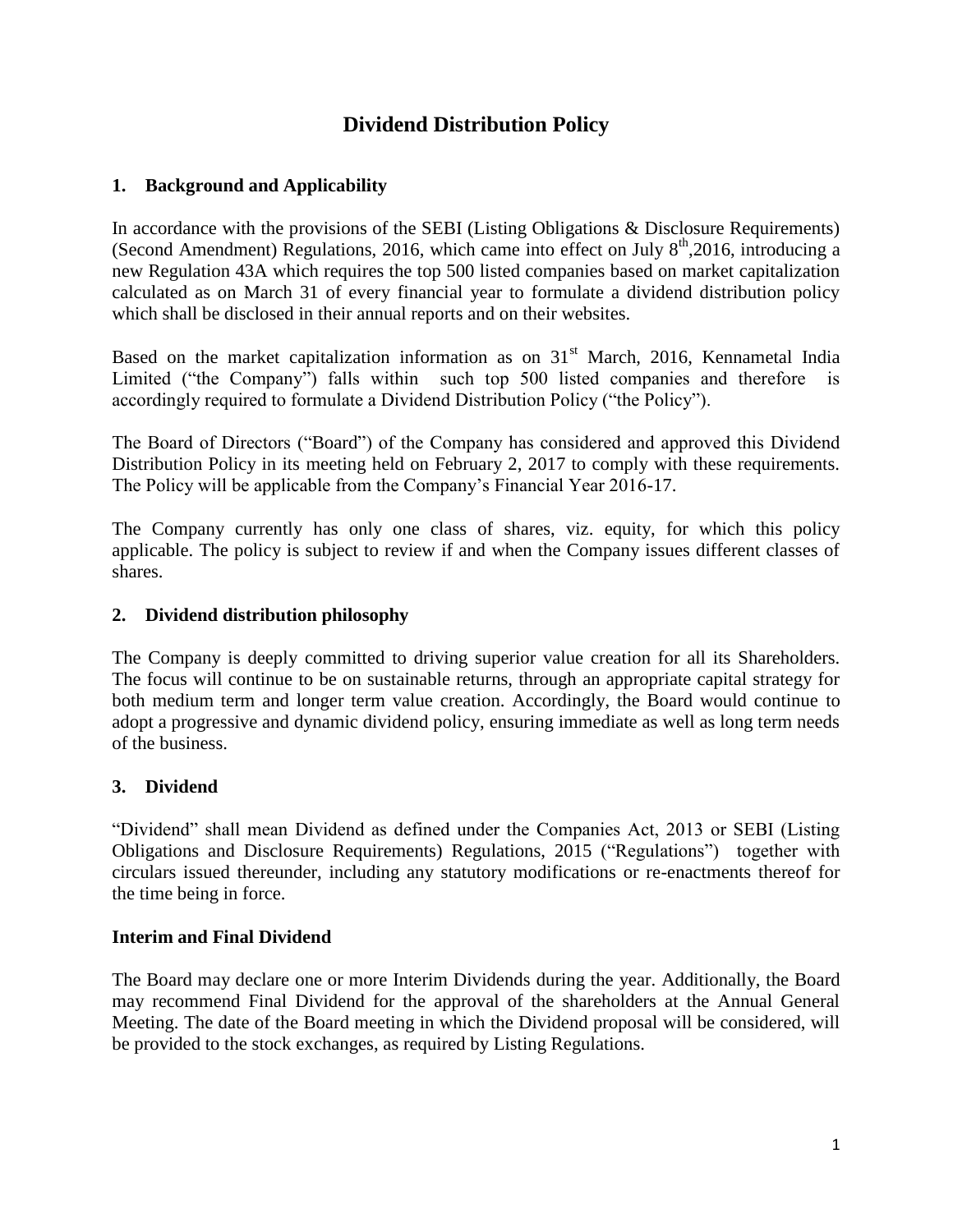# **Dividend Distribution Policy**

# **1. Background and Applicability**

In accordance with the provisions of the SEBI (Listing Obligations & Disclosure Requirements) (Second Amendment) Regulations, 2016, which came into effect on July  $8<sup>th</sup>$ ,2016, introducing a new Regulation 43A which requires the top 500 listed companies based on market capitalization calculated as on March 31 of every financial year to formulate a dividend distribution policy which shall be disclosed in their annual reports and on their websites.

Based on the market capitalization information as on  $31<sup>st</sup>$  March, 2016, Kennametal India Limited ("the Company") falls within such top 500 listed companies and therefore is accordingly required to formulate a Dividend Distribution Policy ("the Policy").

The Board of Directors ("Board") of the Company has considered and approved this Dividend Distribution Policy in its meeting held on February 2, 2017 to comply with these requirements. The Policy will be applicable from the Company's Financial Year 2016-17.

The Company currently has only one class of shares, viz. equity, for which this policy applicable. The policy is subject to review if and when the Company issues different classes of shares.

#### **2. Dividend distribution philosophy**

The Company is deeply committed to driving superior value creation for all its Shareholders. The focus will continue to be on sustainable returns, through an appropriate capital strategy for both medium term and longer term value creation. Accordingly, the Board would continue to adopt a progressive and dynamic dividend policy, ensuring immediate as well as long term needs of the business.

## **3. Dividend**

"Dividend" shall mean Dividend as defined under the Companies Act, 2013 or SEBI (Listing Obligations and Disclosure Requirements) Regulations, 2015 ("Regulations") together with circulars issued thereunder, including any statutory modifications or re-enactments thereof for the time being in force.

## **Interim and Final Dividend**

The Board may declare one or more Interim Dividends during the year. Additionally, the Board may recommend Final Dividend for the approval of the shareholders at the Annual General Meeting. The date of the Board meeting in which the Dividend proposal will be considered, will be provided to the stock exchanges, as required by Listing Regulations.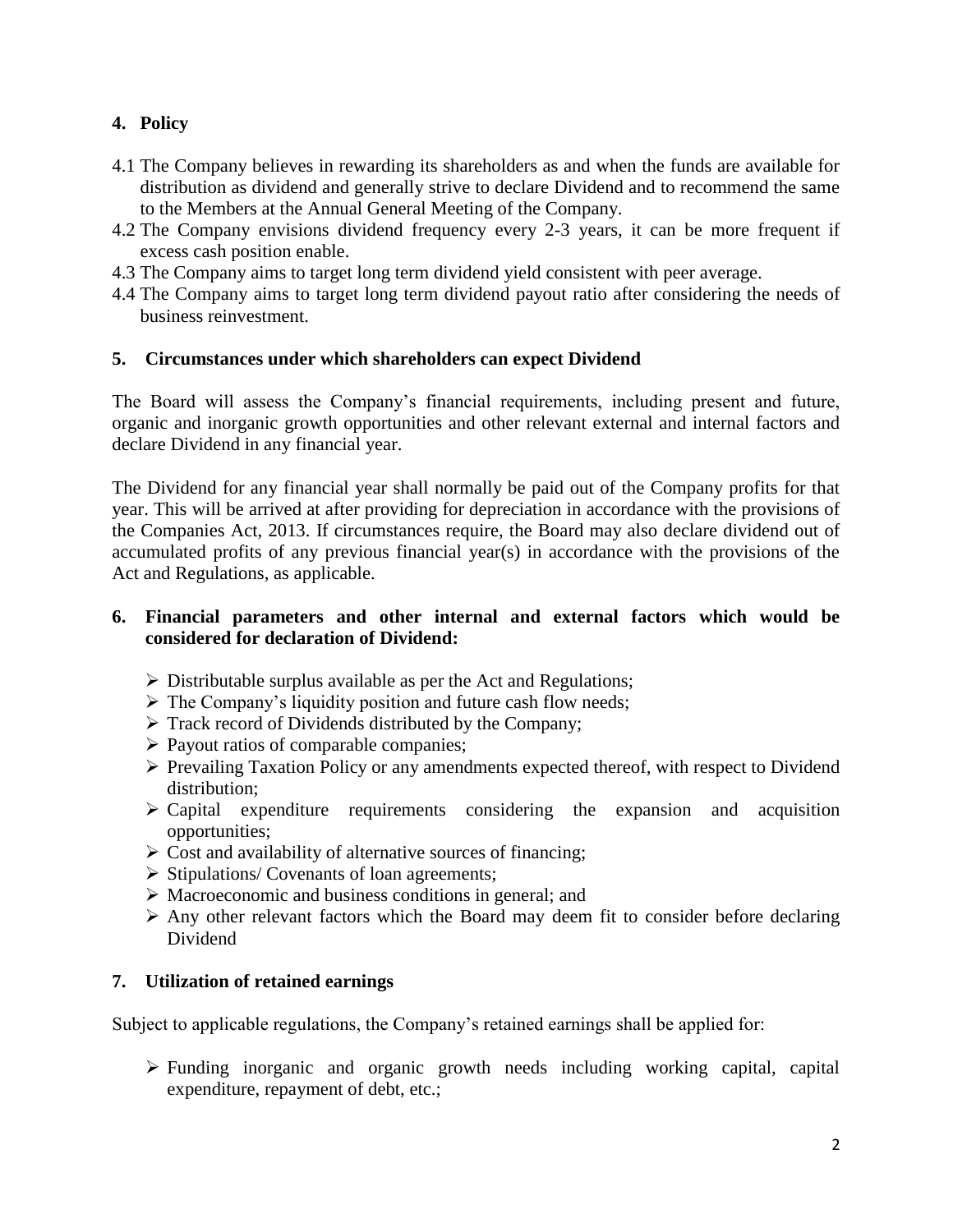# **4. Policy**

- 4.1 The Company believes in rewarding its shareholders as and when the funds are available for distribution as dividend and generally strive to declare Dividend and to recommend the same to the Members at the Annual General Meeting of the Company.
- 4.2 The Company envisions dividend frequency every 2-3 years, it can be more frequent if excess cash position enable.
- 4.3 The Company aims to target long term dividend yield consistent with peer average.
- 4.4 The Company aims to target long term dividend payout ratio after considering the needs of business reinvestment.

## **5. Circumstances under which shareholders can expect Dividend**

The Board will assess the Company's financial requirements, including present and future, organic and inorganic growth opportunities and other relevant external and internal factors and declare Dividend in any financial year.

The Dividend for any financial year shall normally be paid out of the Company profits for that year. This will be arrived at after providing for depreciation in accordance with the provisions of the Companies Act, 2013. If circumstances require, the Board may also declare dividend out of accumulated profits of any previous financial year(s) in accordance with the provisions of the Act and Regulations, as applicable.

## **6. Financial parameters and other internal and external factors which would be considered for declaration of Dividend:**

- $\triangleright$  Distributable surplus available as per the Act and Regulations;
- $\triangleright$  The Company's liquidity position and future cash flow needs;
- $\triangleright$  Track record of Dividends distributed by the Company;
- $\triangleright$  Payout ratios of comparable companies;
- $\triangleright$  Prevailing Taxation Policy or any amendments expected thereof, with respect to Dividend distribution;
- $\triangleright$  Capital expenditure requirements considering the expansion and acquisition opportunities;
- $\triangleright$  Cost and availability of alternative sources of financing;
- $\triangleright$  Stipulations/ Covenants of loan agreements;
- $\triangleright$  Macroeconomic and business conditions in general; and
- $\triangleright$  Any other relevant factors which the Board may deem fit to consider before declaring Dividend

# **7. Utilization of retained earnings**

Subject to applicable regulations, the Company's retained earnings shall be applied for:

 Funding inorganic and organic growth needs including working capital, capital expenditure, repayment of debt, etc.;